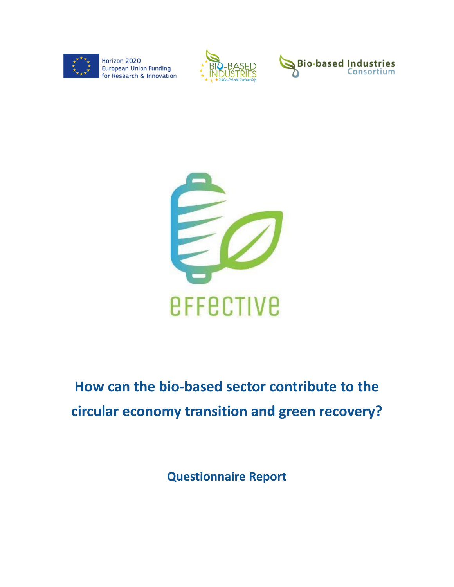







# **How can the bio-based sector contribute to the circular economy transition and green recovery?**

**Questionnaire Report**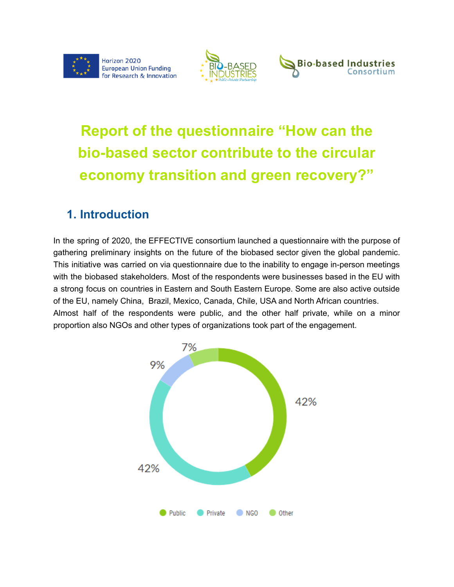





# **Report of the questionnaire "How can the bio-based sector contribute to the circular economy transition and green recovery?"**

## **1. Introduction**

In the spring of 2020, the EFFECTIVE consortium launched a questionnaire with the purpose of gathering preliminary insights on the future of the biobased sector given the global pandemic. This initiative was carried on via questionnaire due to the inability to engage in-person meetings with the biobased stakeholders. Most of the respondents were businesses based in the EU with a strong focus on countries in Eastern and South Eastern Europe. Some are also active outside of the EU, namely China, Brazil, Mexico, Canada, Chile, USA and North African countries. Almost half of the respondents were public, and the other half private, while on a minor proportion also NGOs and other types of organizations took part of the engagement.

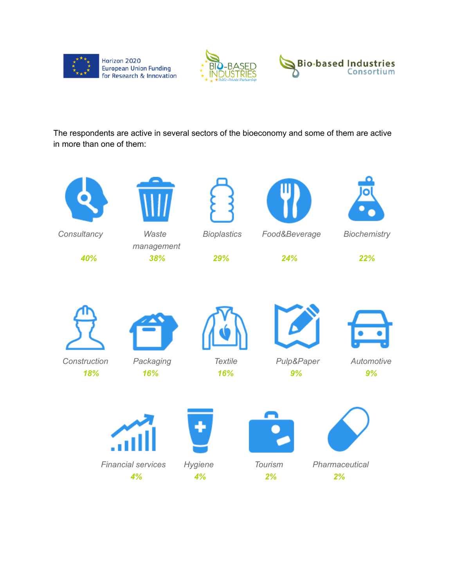





The respondents are active in several sectors of the bioeconomy and some of them are active in more than one of them:

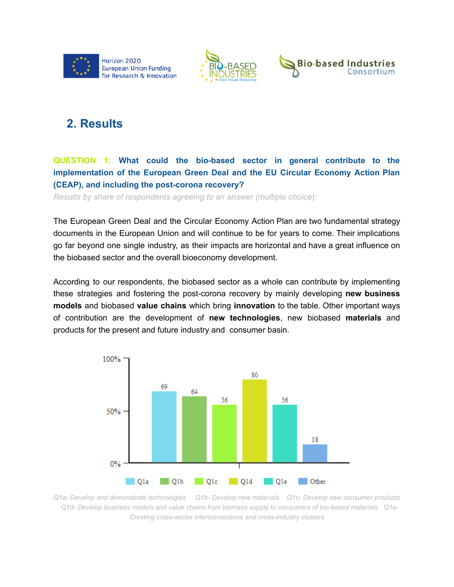





## **2. Results**

### **QUESTION 1: What could the bio-based sector in general contribute to the implementation of the European Green Deal and the EU Circular Economy Action Plan (CEAP), and including the post-corona recovery?**

*Results by share of respondents agreeing to an answer (multiple choice):*

The European Green Deal and the Circular Economy Action Plan are two fundamental strategy documents in the European Union and will continue to be for years to come. Their implications go far beyond one single industry, as their impacts are horizontal and have a great influence on the biobased sector and the overall bioeconomy development.

According to our respondents, the biobased sector as a whole can contribute by implementing these strategies and fostering the post-corona recovery by mainly developing **new business models** and biobased **value chains** which bring **innovation** to the table. Other important ways of contribution are the development of **new technologies**, new biobased **materials** and products for the present and future industry and consumer basin.



*Q1a- Develop and demonstrate technologies Q1b- Develop new materials Q1c- Develop new consumer products Q1d- Develop business models and value chains from biomass supply to consumers of bio-based materials Q1e-Creating cross-sector interconnections and cross-industry clusters*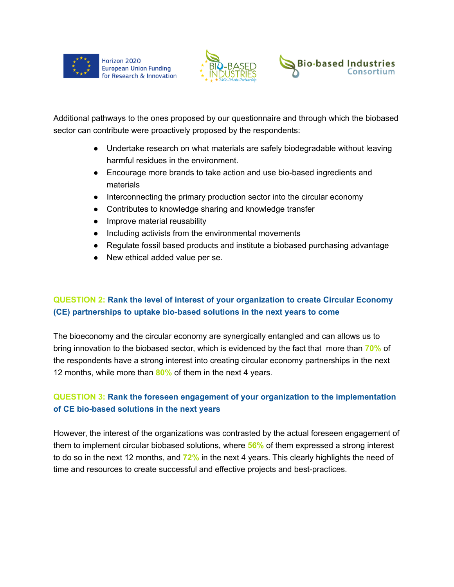





Additional pathways to the ones proposed by our questionnaire and through which the biobased sector can contribute were proactively proposed by the respondents:

- Undertake research on what materials are safely biodegradable without leaving harmful residues in the environment.
- Encourage more brands to take action and use bio-based ingredients and materials
- Interconnecting the primary production sector into the circular economy
- Contributes to knowledge sharing and knowledge transfer
- Improve material reusability
- Including activists from the environmental movements
- Regulate fossil based products and institute a biobased purchasing advantage
- New ethical added value per se.

### **QUESTION 2: Rank the level of interest of your organization to create Circular Economy (CE) partnerships to uptake bio-based solutions in the next years to come**

The bioeconomy and the circular economy are synergically entangled and can allows us to bring innovation to the biobased sector, which is evidenced by the fact that more than **70%** of the respondents have a strong interest into creating circular economy partnerships in the next 12 months, while more than **80%** of them in the next 4 years.

### **QUESTION 3: Rank the foreseen engagement of your organization to the implementation of CE bio-based solutions in the next years**

However, the interest of the organizations was contrasted by the actual foreseen engagement of them to implement circular biobased solutions, where **56%** of them expressed a strong interest to do so in the next 12 months, and **72%** in the next 4 years. This clearly highlights the need of time and resources to create successful and effective projects and best-practices.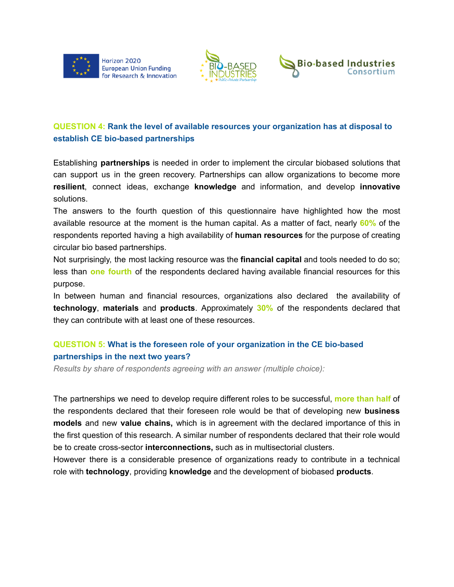





### **QUESTION 4: Rank the level of available resources your organization has at disposal to establish CE bio-based partnerships**

Establishing **partnerships** is needed in order to implement the circular biobased solutions that can support us in the green recovery. Partnerships can allow organizations to become more **resilient**, connect ideas, exchange **knowledge** and information, and develop **innovative** solutions.

The answers to the fourth question of this questionnaire have highlighted how the most available resource at the moment is the human capital. As a matter of fact, nearly **60%** of the respondents reported having a high availability of **human resources** for the purpose of creating circular bio based partnerships.

Not surprisingly, the most lacking resource was the **financial capital** and tools needed to do so; less than **one fourth** of the respondents declared having available financial resources for this purpose.

In between human and financial resources, organizations also declared the availability of **technology**, **materials** and **products**. Approximately **30%** of the respondents declared that they can contribute with at least one of these resources.

#### **QUESTION 5: What is the foreseen role of your organization in the CE bio-based partnerships in the next two years?**

*Results by share of respondents agreeing with an answer (multiple choice):*

The partnerships we need to develop require different roles to be successful, **more than half** of the respondents declared that their foreseen role would be that of developing new **business models** and new **value chains,** which is in agreement with the declared importance of this in the first question of this research. A similar number of respondents declared that their role would be to create cross-sector **interconnections,** such as in multisectorial clusters.

However there is a considerable presence of organizations ready to contribute in a technical role with **technology**, providing **knowledge** and the development of biobased **products**.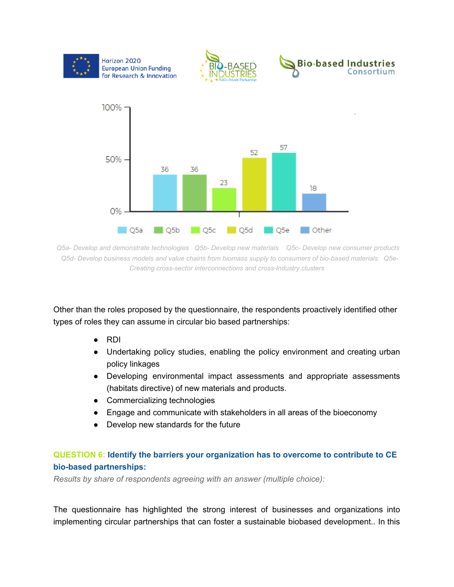

*Q5a- Develop and demonstrate technologies Q5b- Develop new materials Q5c- Develop new consumer products Q5d- Develop business models and value chains from biomass supply to consumers of bio-based materials Q5e-Creating cross-sector interconnections and cross-industry clusters*

Other than the roles proposed by the questionnaire, the respondents proactively identified other types of roles they can assume in circular bio based partnerships:

- RDI
- Undertaking policy studies, enabling the policy environment and creating urban policy linkages
- Developing environmental impact assessments and appropriate assessments (habitats directive) of new materials and products.
- Commercializing technologies
- Engage and communicate with stakeholders in all areas of the bioeconomy
- Develop new standards for the future

#### **QUESTION 6: Identify the barriers your organization has to overcome to contribute to CE bio-based partnerships:**

*Results by share of respondents agreeing with an answer (multiple choice):*

The questionnaire has highlighted the strong interest of businesses and organizations into implementing circular partnerships that can foster a sustainable biobased development.. In this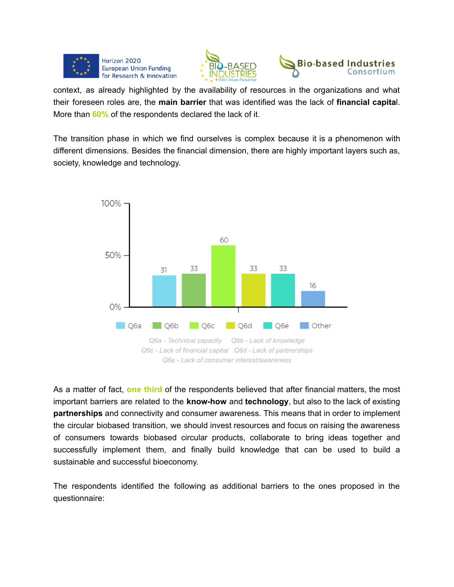





context, as already highlighted by the availability of resources in the organizations and what their foreseen roles are, the **main barrier** that was identified was the lack of **financial capita**l. More than **60%** of the respondents declared the lack of it.

The transition phase in which we find ourselves is complex because it is a phenomenon with different dimensions. Besides the financial dimension, there are highly important layers such as, society, knowledge and technology.



As a matter of fact, **one third** of the respondents believed that after financial matters, the most important barriers are related to the **know-how** and **technology**, but also to the lack of existing **partnerships** and connectivity and consumer awareness. This means that in order to implement the circular biobased transition, we should invest resources and focus on raising the awareness of consumers towards biobased circular products, collaborate to bring ideas together and successfully implement them, and finally build knowledge that can be used to build a sustainable and successful bioeconomy.

The respondents identified the following as additional barriers to the ones proposed in the questionnaire: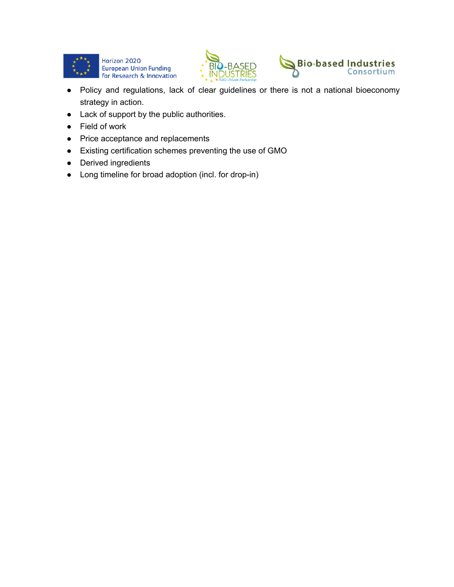





- Policy and regulations, lack of clear guidelines or there is not a national bioeconomy strategy in action.
- Lack of support by the public authorities.
- Field of work
- Price acceptance and replacements
- Existing certification schemes preventing the use of GMO
- Derived ingredients
- Long timeline for broad adoption (incl. for drop-in)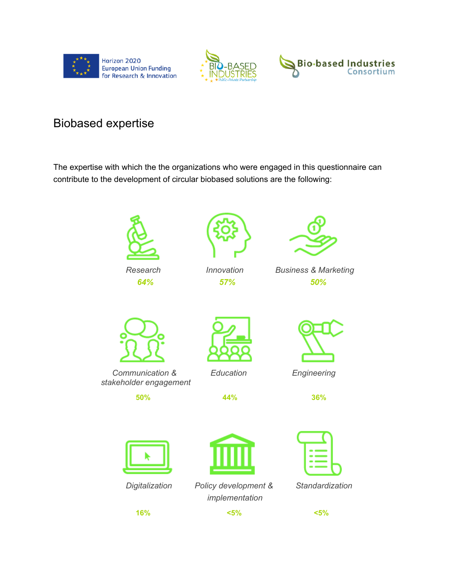





## Biobased expertise

The expertise with which the the organizations who were engaged in this questionnaire can contribute to the development of circular biobased solutions are the following:



*Digitalization Policy development & Standardization implementation*



**16% <5% <5%**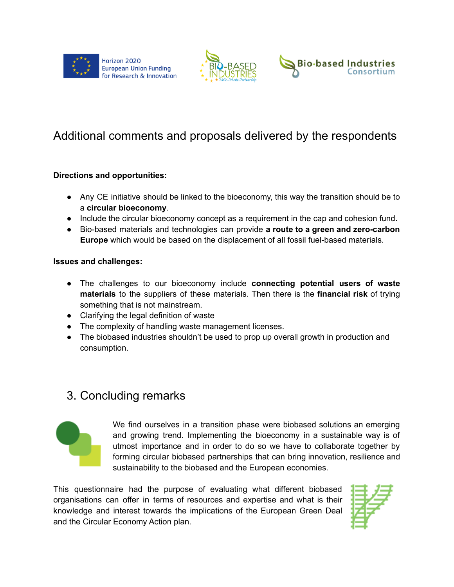





## Additional comments and proposals delivered by the respondents

#### **Directions and opportunities:**

- Any CE initiative should be linked to the bioeconomy, this way the transition should be to a **circular bioeconomy**.
- Include the circular bioeconomy concept as a requirement in the cap and cohesion fund.
- **●** Bio-based materials and technologies can provide **a route to a green and zero-carbon Europe** which would be based on the displacement of all fossil fuel-based materials.

#### **Issues and challenges:**

- The challenges to our bioeconomy include **connecting potential users of waste materials** to the suppliers of these materials. Then there is the **financial risk** of trying something that is not mainstream.
- Clarifying the legal definition of waste
- The complexity of handling waste management licenses.
- The biobased industries shouldn't be used to prop up overall growth in production and consumption.

## 3. Concluding remarks



We find ourselves in a transition phase were biobased solutions an emerging and growing trend. Implementing the bioeconomy in a sustainable way is of utmost importance and in order to do so we have to collaborate together by forming circular biobased partnerships that can bring innovation, resilience and sustainability to the biobased and the European economies.

This questionnaire had the purpose of evaluating what different biobased organisations can offer in terms of resources and expertise and what is their knowledge and interest towards the implications of the European Green Deal and the Circular Economy Action plan.